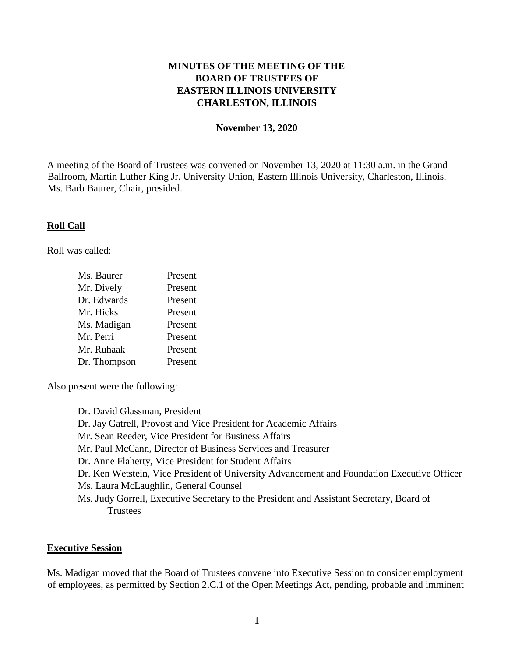# **MINUTES OF THE MEETING OF THE BOARD OF TRUSTEES OF EASTERN ILLINOIS UNIVERSITY CHARLESTON, ILLINOIS**

#### **November 13, 2020**

A meeting of the Board of Trustees was convened on November 13, 2020 at 11:30 a.m. in the Grand Ballroom, Martin Luther King Jr. University Union, Eastern Illinois University, Charleston, Illinois. Ms. Barb Baurer, Chair, presided.

#### **Roll Call**

Roll was called:

| Ms. Baurer   | Present |
|--------------|---------|
| Mr. Dively   | Present |
| Dr. Edwards  | Present |
| Mr. Hicks    | Present |
| Ms. Madigan  | Present |
| Mr. Perri    | Present |
| Mr. Ruhaak   | Present |
| Dr. Thompson | Present |

Also present were the following:

Dr. David Glassman, President Dr. Jay Gatrell, Provost and Vice President for Academic Affairs Mr. Sean Reeder, Vice President for Business Affairs Mr. Paul McCann, Director of Business Services and Treasurer Dr. Anne Flaherty, Vice President for Student Affairs Dr. Ken Wetstein, Vice President of University Advancement and Foundation Executive Officer Ms. Laura McLaughlin, General Counsel Ms. Judy Gorrell, Executive Secretary to the President and Assistant Secretary, Board of **Trustees** 

#### **Executive Session**

Ms. Madigan moved that the Board of Trustees convene into Executive Session to consider employment of employees, as permitted by Section 2.C.1 of the Open Meetings Act, pending, probable and imminent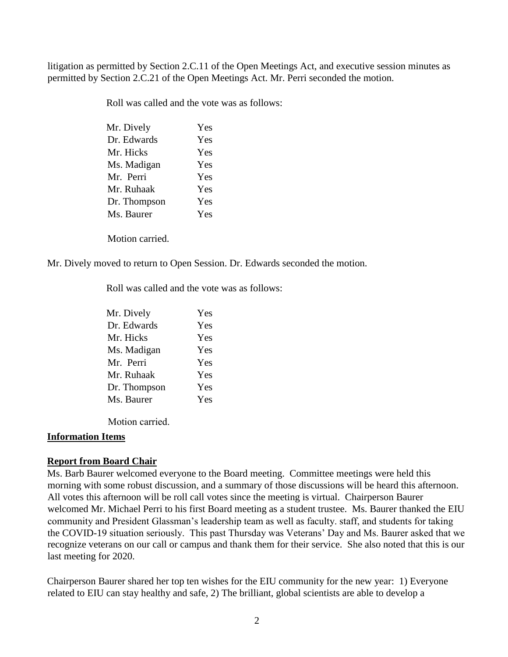litigation as permitted by Section 2.C.11 of the Open Meetings Act, and executive session minutes as permitted by Section 2.C.21 of the Open Meetings Act. Mr. Perri seconded the motion.

Roll was called and the vote was as follows:

| Mr. Dively   | Yes |
|--------------|-----|
| Dr. Edwards  | Yes |
| Mr. Hicks    | Yes |
| Ms. Madigan  | Yes |
| Mr. Perri    | Yes |
| Mr. Ruhaak   | Yes |
| Dr. Thompson | Yes |
| Ms. Baurer   | Yes |
|              |     |

Motion carried.

Mr. Dively moved to return to Open Session. Dr. Edwards seconded the motion.

Roll was called and the vote was as follows:

| Mr. Dively   | Yes |
|--------------|-----|
| Dr. Edwards  | Yes |
| Mr. Hicks    | Yes |
| Ms. Madigan  | Yes |
| Mr. Perri    | Yes |
| Mr. Ruhaak   | Yes |
| Dr. Thompson | Yes |
| Ms. Baurer   | Yes |

Motion carried.

#### **Information Items**

#### **Report from Board Chair**

Ms. Barb Baurer welcomed everyone to the Board meeting. Committee meetings were held this morning with some robust discussion, and a summary of those discussions will be heard this afternoon. All votes this afternoon will be roll call votes since the meeting is virtual. Chairperson Baurer welcomed Mr. Michael Perri to his first Board meeting as a student trustee. Ms. Baurer thanked the EIU community and President Glassman's leadership team as well as faculty. staff, and students for taking the COVID-19 situation seriously. This past Thursday was Veterans' Day and Ms. Baurer asked that we recognize veterans on our call or campus and thank them for their service. She also noted that this is our last meeting for 2020.

Chairperson Baurer shared her top ten wishes for the EIU community for the new year: 1) Everyone related to EIU can stay healthy and safe, 2) The brilliant, global scientists are able to develop a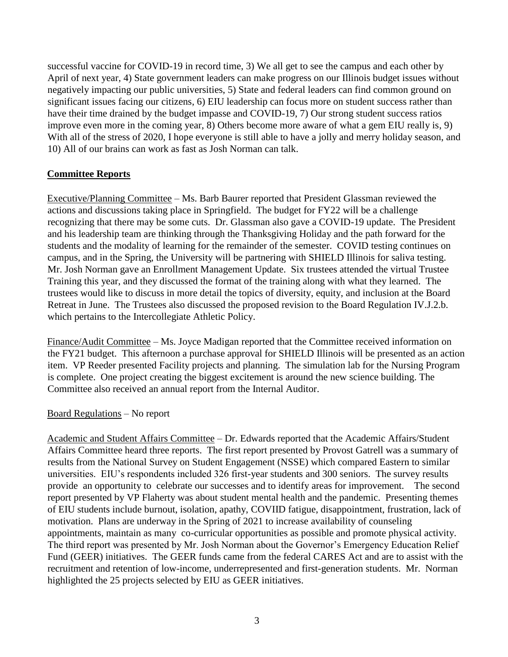successful vaccine for COVID-19 in record time, 3) We all get to see the campus and each other by April of next year, 4) State government leaders can make progress on our Illinois budget issues without negatively impacting our public universities, 5) State and federal leaders can find common ground on significant issues facing our citizens, 6) EIU leadership can focus more on student success rather than have their time drained by the budget impasse and COVID-19, 7) Our strong student success ratios improve even more in the coming year, 8) Others become more aware of what a gem EIU really is, 9) With all of the stress of 2020, I hope everyone is still able to have a jolly and merry holiday season, and 10) All of our brains can work as fast as Josh Norman can talk.

## **Committee Reports**

Executive/Planning Committee – Ms. Barb Baurer reported that President Glassman reviewed the actions and discussions taking place in Springfield. The budget for FY22 will be a challenge recognizing that there may be some cuts. Dr. Glassman also gave a COVID-19 update. The President and his leadership team are thinking through the Thanksgiving Holiday and the path forward for the students and the modality of learning for the remainder of the semester. COVID testing continues on campus, and in the Spring, the University will be partnering with SHIELD Illinois for saliva testing. Mr. Josh Norman gave an Enrollment Management Update. Six trustees attended the virtual Trustee Training this year, and they discussed the format of the training along with what they learned. The trustees would like to discuss in more detail the topics of diversity, equity, and inclusion at the Board Retreat in June. The Trustees also discussed the proposed revision to the Board Regulation IV.J.2.b. which pertains to the Intercollegiate Athletic Policy.

Finance/Audit Committee – Ms. Joyce Madigan reported that the Committee received information on the FY21 budget. This afternoon a purchase approval for SHIELD Illinois will be presented as an action item. VP Reeder presented Facility projects and planning. The simulation lab for the Nursing Program is complete. One project creating the biggest excitement is around the new science building. The Committee also received an annual report from the Internal Auditor.

## Board Regulations – No report

Academic and Student Affairs Committee – Dr. Edwards reported that the Academic Affairs/Student Affairs Committee heard three reports. The first report presented by Provost Gatrell was a summary of results from the National Survey on Student Engagement (NSSE) which compared Eastern to similar universities. EIU's respondents included 326 first-year students and 300 seniors. The survey results provide an opportunity to celebrate our successes and to identify areas for improvement. The second report presented by VP Flaherty was about student mental health and the pandemic. Presenting themes of EIU students include burnout, isolation, apathy, COVIID fatigue, disappointment, frustration, lack of motivation. Plans are underway in the Spring of 2021 to increase availability of counseling appointments, maintain as many co-curricular opportunities as possible and promote physical activity. The third report was presented by Mr. Josh Norman about the Governor's Emergency Education Relief Fund (GEER) initiatives. The GEER funds came from the federal CARES Act and are to assist with the recruitment and retention of low-income, underrepresented and first-generation students. Mr. Norman highlighted the 25 projects selected by EIU as GEER initiatives.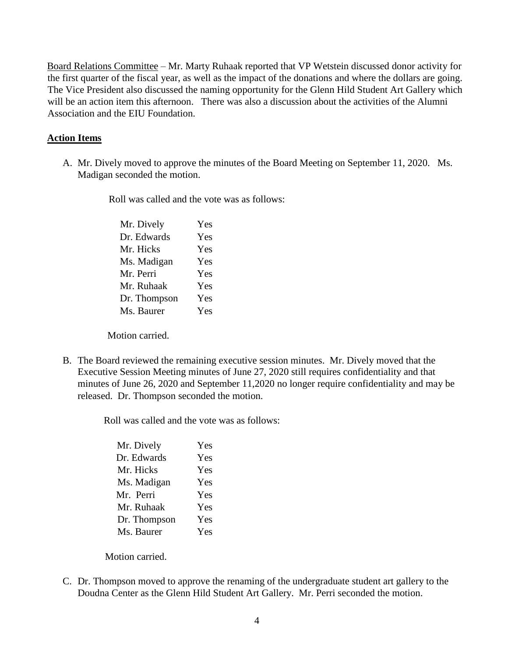Board Relations Committee – Mr. Marty Ruhaak reported that VP Wetstein discussed donor activity for the first quarter of the fiscal year, as well as the impact of the donations and where the dollars are going. The Vice President also discussed the naming opportunity for the Glenn Hild Student Art Gallery which will be an action item this afternoon. There was also a discussion about the activities of the Alumni Association and the EIU Foundation.

#### **Action Items**

A. Mr. Dively moved to approve the minutes of the Board Meeting on September 11, 2020. Ms. Madigan seconded the motion.

Roll was called and the vote was as follows:

| Mr. Dively   | Yes |
|--------------|-----|
| Dr. Edwards  | Yes |
| Mr. Hicks    | Yes |
| Ms. Madigan  | Yes |
| Mr. Perri    | Yes |
| Mr. Ruhaak   | Yes |
| Dr. Thompson | Yes |
| Ms. Baurer   | Yes |

Motion carried.

B. The Board reviewed the remaining executive session minutes. Mr. Dively moved that the Executive Session Meeting minutes of June 27, 2020 still requires confidentiality and that minutes of June 26, 2020 and September 11,2020 no longer require confidentiality and may be released. Dr. Thompson seconded the motion.

Roll was called and the vote was as follows:

| Mr. Dively   | Yes |
|--------------|-----|
| Dr. Edwards  | Yes |
| Mr. Hicks    | Yes |
| Ms. Madigan  | Yes |
| Mr. Perri    | Yes |
| Mr. Ruhaak   | Yes |
| Dr. Thompson | Yes |
| Ms. Baurer   | Yes |

Motion carried.

C. Dr. Thompson moved to approve the renaming of the undergraduate student art gallery to the Doudna Center as the Glenn Hild Student Art Gallery. Mr. Perri seconded the motion.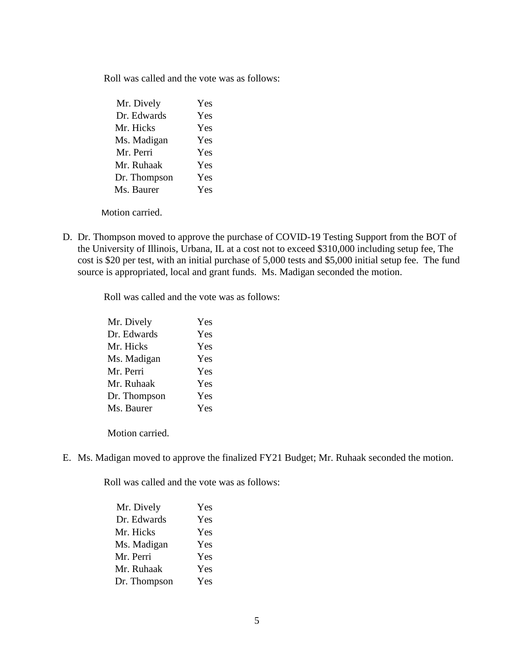Roll was called and the vote was as follows:

| Mr. Dively   | Yes |
|--------------|-----|
| Dr. Edwards  | Yes |
| Mr. Hicks    | Yes |
| Ms. Madigan  | Yes |
| Mr. Perri    | Yes |
| Mr. Ruhaak   | Yes |
| Dr. Thompson | Yes |
| Ms. Baurer   | Yes |

Motion carried.

D. Dr. Thompson moved to approve the purchase of COVID-19 Testing Support from the BOT of the University of Illinois, Urbana, IL at a cost not to exceed \$310,000 including setup fee, The cost is \$20 per test, with an initial purchase of 5,000 tests and \$5,000 initial setup fee. The fund source is appropriated, local and grant funds. Ms. Madigan seconded the motion.

Roll was called and the vote was as follows:

| Mr. Dively   | Yes |
|--------------|-----|
| Dr. Edwards  | Yes |
| Mr. Hicks    | Yes |
| Ms. Madigan  | Yes |
| Mr. Perri    | Yes |
| Mr. Ruhaak   | Yes |
| Dr. Thompson | Yes |
| Ms. Baurer   | Yes |
|              |     |

Motion carried.

E. Ms. Madigan moved to approve the finalized FY21 Budget; Mr. Ruhaak seconded the motion.

Roll was called and the vote was as follows:

| Mr. Dively   | Yes |
|--------------|-----|
| Dr. Edwards  | Yes |
| Mr. Hicks    | Yes |
| Ms. Madigan  | Yes |
| Mr. Perri    | Yes |
| Mr. Ruhaak   | Yes |
| Dr. Thompson | Yes |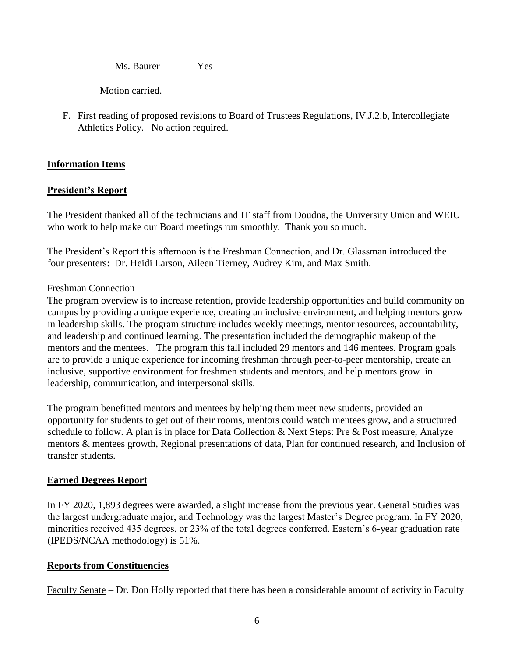Ms. Baurer Yes

Motion carried.

F. First reading of proposed revisions to Board of Trustees Regulations, IV.J.2.b, Intercollegiate Athletics Policy. No action required.

## **Information Items**

## **President's Report**

The President thanked all of the technicians and IT staff from Doudna, the University Union and WEIU who work to help make our Board meetings run smoothly. Thank you so much.

The President's Report this afternoon is the Freshman Connection, and Dr. Glassman introduced the four presenters: Dr. Heidi Larson, Aileen Tierney, Audrey Kim, and Max Smith.

#### Freshman Connection

The program overview is to increase retention, provide leadership opportunities and build community on campus by providing a unique experience, creating an inclusive environment, and helping mentors grow in leadership skills. The program structure includes weekly meetings, mentor resources, accountability, and leadership and continued learning. The presentation included the demographic makeup of the mentors and the mentees. The program this fall included 29 mentors and 146 mentees. Program goals are to provide a unique experience for incoming freshman through peer-to-peer mentorship, create an inclusive, supportive environment for freshmen students and mentors, and help mentors grow in leadership, communication, and interpersonal skills.

The program benefitted mentors and mentees by helping them meet new students, provided an opportunity for students to get out of their rooms, mentors could watch mentees grow, and a structured schedule to follow. A plan is in place for Data Collection & Next Steps: Pre & Post measure, Analyze mentors & mentees growth, Regional presentations of data, Plan for continued research, and Inclusion of transfer students.

## **Earned Degrees Report**

In FY 2020, 1,893 degrees were awarded, a slight increase from the previous year. General Studies was the largest undergraduate major, and Technology was the largest Master's Degree program. In FY 2020, minorities received 435 degrees, or 23% of the total degrees conferred. Eastern's 6-year graduation rate (IPEDS/NCAA methodology) is 51%.

## **Reports from Constituencies**

Faculty Senate – Dr. Don Holly reported that there has been a considerable amount of activity in Faculty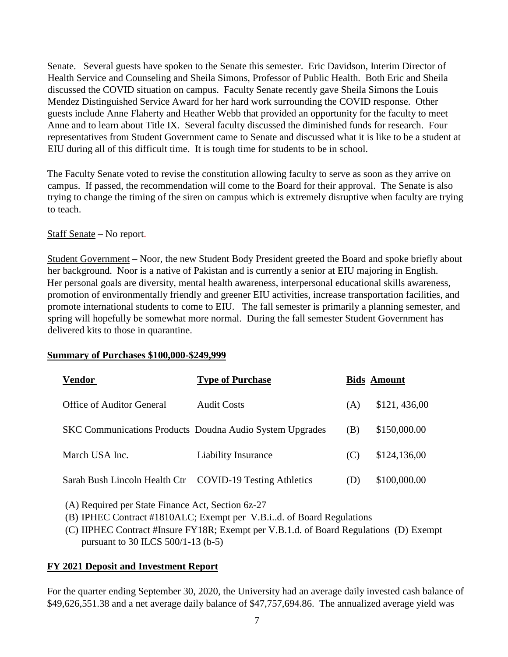Senate. Several guests have spoken to the Senate this semester. Eric Davidson, Interim Director of Health Service and Counseling and Sheila Simons, Professor of Public Health. Both Eric and Sheila discussed the COVID situation on campus. Faculty Senate recently gave Sheila Simons the Louis Mendez Distinguished Service Award for her hard work surrounding the COVID response. Other guests include Anne Flaherty and Heather Webb that provided an opportunity for the faculty to meet Anne and to learn about Title IX. Several faculty discussed the diminished funds for research. Four representatives from Student Government came to Senate and discussed what it is like to be a student at EIU during all of this difficult time. It is tough time for students to be in school.

The Faculty Senate voted to revise the constitution allowing faculty to serve as soon as they arrive on campus. If passed, the recommendation will come to the Board for their approval. The Senate is also trying to change the timing of the siren on campus which is extremely disruptive when faculty are trying to teach.

## Staff Senate – No report.

Student Government – Noor, the new Student Body President greeted the Board and spoke briefly about her background. Noor is a native of Pakistan and is currently a senior at EIU majoring in English. Her personal goals are diversity, mental health awareness, interpersonal educational skills awareness, promotion of environmentally friendly and greener EIU activities, increase transportation facilities, and promote international students to come to EIU. The fall semester is primarily a planning semester, and spring will hopefully be somewhat more normal. During the fall semester Student Government has delivered kits to those in quarantine.

#### **Summary of Purchases \$100,000-\$249,999**

| <b>Vendor</b>                                            | <b>Type of Purchase</b>                                         |     | <b>Bids Amount</b> |
|----------------------------------------------------------|-----------------------------------------------------------------|-----|--------------------|
| Office of Auditor General                                | <b>Audit Costs</b>                                              | (A) | \$121,436,00       |
|                                                          | <b>SKC Communications Products Doudna Audio System Upgrades</b> | (B) | \$150,000.00       |
| March USA Inc.                                           | <b>Liability Insurance</b>                                      | (C) | \$124,136,00       |
| Sarah Bush Lincoln Health Ctr COVID-19 Testing Athletics |                                                                 | (D) | \$100,000.00       |

(A) Required per State Finance Act, Section 6z-27

(B) IPHEC Contract #1810ALC; Exempt per V.B.i..d. of Board Regulations

(C) IIPHEC Contract #Insure FY18R; Exempt per V.B.1.d. of Board Regulations (D) Exempt pursuant to 30 ILCS 500/1-13 (b-5)

## **FY 2021 Deposit and Investment Report**

For the quarter ending September 30, 2020, the University had an average daily invested cash balance of \$49,626,551.38 and a net average daily balance of \$47,757,694.86. The annualized average yield was